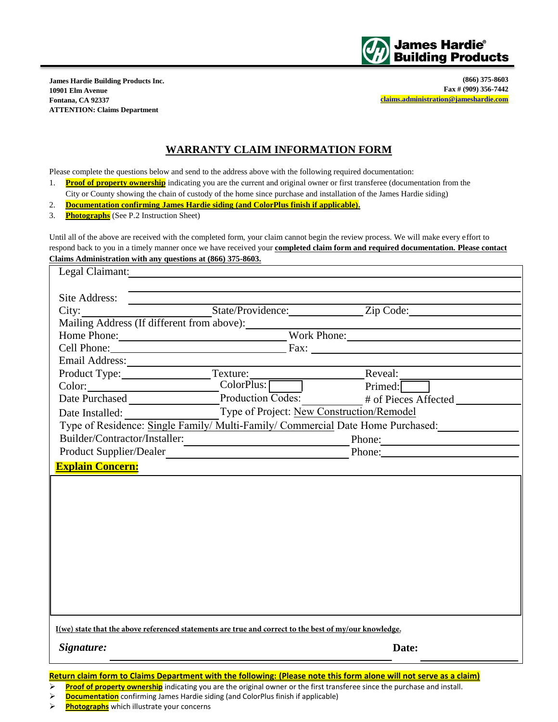

**James Hardie Building Products Inc. 10901 Elm Avenue Fontana, CA 92337 ATTENTION: Claims Department** 

**(866) 375-8603 Fax # (909) 356-7442 [claims.administration@jameshardie.com](mailto:claims.administration@jameshardie.com)**

## **WARRANTY CLAIM INFORMATION FORM**

Please complete the questions below and send to the address above with the following required documentation:

- 1. **Proof of property ownership** indicating you are the current and original owner or first transferee (documentation from the City or County showing the chain of custody of the home since purchase and installation of the James Hardie siding)
- 2. **Documentation confirming James Hardie siding (and ColorPlus finish if applicable).**
- 3. **Photographs** (See P.2 Instruction Sheet)

Until all of the above are received with the completed form, your claim cannot begin the review process. We will make every effort to respond back to you in a timely manner once we have received your **completed claim form and required documentation. Please contact Claims Administration with any questions at (866) 375-8603.** 

| Legal Claimant:                                                                                                    |                                                                                                                     |                                                                                                                                                                                                                                |  |
|--------------------------------------------------------------------------------------------------------------------|---------------------------------------------------------------------------------------------------------------------|--------------------------------------------------------------------------------------------------------------------------------------------------------------------------------------------------------------------------------|--|
|                                                                                                                    |                                                                                                                     |                                                                                                                                                                                                                                |  |
| Site Address:                                                                                                      |                                                                                                                     |                                                                                                                                                                                                                                |  |
|                                                                                                                    |                                                                                                                     |                                                                                                                                                                                                                                |  |
|                                                                                                                    |                                                                                                                     |                                                                                                                                                                                                                                |  |
|                                                                                                                    | Home Phone: Work Phone:                                                                                             |                                                                                                                                                                                                                                |  |
|                                                                                                                    |                                                                                                                     | Cell Phone: Fax:                                                                                                                                                                                                               |  |
|                                                                                                                    |                                                                                                                     |                                                                                                                                                                                                                                |  |
|                                                                                                                    | Product Type: Texture: Texture: Reveal: Reveal:                                                                     |                                                                                                                                                                                                                                |  |
|                                                                                                                    |                                                                                                                     | Primed:                                                                                                                                                                                                                        |  |
|                                                                                                                    |                                                                                                                     | Date Purchased Production Codes: # of Pieces Affected                                                                                                                                                                          |  |
| Date Installed:                                                                                                    | Type of Project: New Construction/Remodel                                                                           |                                                                                                                                                                                                                                |  |
| Type of Residence: Single Family/ Multi-Family/ Commercial Date Home Purchased:                                    |                                                                                                                     |                                                                                                                                                                                                                                |  |
| Builder/Contractor/Installer:                                                                                      | <u> 1980 - Johann John Stone, mars eta industrial eta industrial eta industrial eta industrial eta industrial e</u> | Phone:                                                                                                                                                                                                                         |  |
| Product Supplier/Dealer                                                                                            | <u> 1980 - Jan James James, politik eta politik eta politik eta politik eta politik eta politik eta politik eta</u> | Phone: 2008. Contract of the Contract of the Contract of the Contract of the Contract of the Contract of the Contract of the Contract of the Contract of the Contract of the Contract of the Contract of the Contract of the C |  |
| <b>Explain Concern:</b>                                                                                            |                                                                                                                     |                                                                                                                                                                                                                                |  |
|                                                                                                                    |                                                                                                                     |                                                                                                                                                                                                                                |  |
|                                                                                                                    |                                                                                                                     |                                                                                                                                                                                                                                |  |
|                                                                                                                    |                                                                                                                     |                                                                                                                                                                                                                                |  |
|                                                                                                                    |                                                                                                                     |                                                                                                                                                                                                                                |  |
|                                                                                                                    |                                                                                                                     |                                                                                                                                                                                                                                |  |
|                                                                                                                    |                                                                                                                     |                                                                                                                                                                                                                                |  |
|                                                                                                                    |                                                                                                                     |                                                                                                                                                                                                                                |  |
|                                                                                                                    |                                                                                                                     |                                                                                                                                                                                                                                |  |
|                                                                                                                    |                                                                                                                     |                                                                                                                                                                                                                                |  |
|                                                                                                                    |                                                                                                                     |                                                                                                                                                                                                                                |  |
|                                                                                                                    |                                                                                                                     |                                                                                                                                                                                                                                |  |
|                                                                                                                    |                                                                                                                     |                                                                                                                                                                                                                                |  |
| I(we) state that the above referenced statements are true and correct to the best of my/our knowledge.             |                                                                                                                     |                                                                                                                                                                                                                                |  |
| Signature:                                                                                                         |                                                                                                                     | Date:                                                                                                                                                                                                                          |  |
|                                                                                                                    |                                                                                                                     |                                                                                                                                                                                                                                |  |
| Return claim form to Claims Department with the following: (Please note this form alone will not serve as a claim) |                                                                                                                     |                                                                                                                                                                                                                                |  |
|                                                                                                                    |                                                                                                                     |                                                                                                                                                                                                                                |  |

Proof of property ownership</u> indicating you are the original owner or the first transferee since the purchase and install.

**Photographs** which illustrate your concerns

**Documentation** confirming James Hardie siding (and ColorPlus finish if applicable)